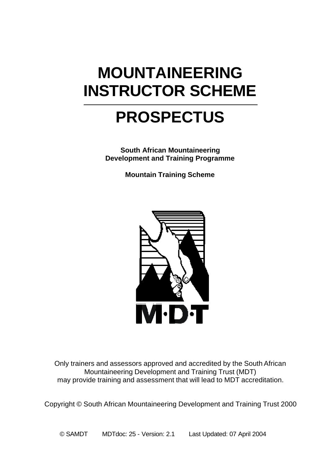# **MOUNTAINEERING INSTRUCTOR SCHEME**

# **PROSPECTUS**

**South African Mountaineering Development and Training Programme**

**Mountain Training Scheme**



Only trainers and assessors approved and accredited by the South African Mountaineering Development and Training Trust (MDT) may provide training and assessment that will lead to MDT accreditation.

Copyright © South African Mountaineering Development and Training Trust 2000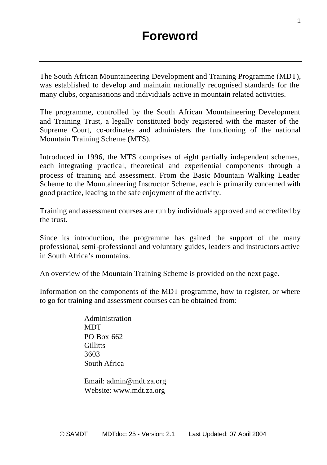The South African Mountaineering Development and Training Programme (MDT), was established to develop and maintain nationally recognised standards for the many clubs, organisations and individuals active in mountain related activities.

The programme, controlled by the South African Mountaineering Development and Training Trust, a legally constituted body registered with the master of the Supreme Court, co-ordinates and administers the functioning of the national Mountain Training Scheme (MTS).

Introduced in 1996, the MTS comprises of eight partially independent schemes, each integrating practical, theoretical and experiential components through a process of training and assessment. From the Basic Mountain Walking Leader Scheme to the Mountaineering Instructor Scheme, each is primarily concerned with good practice, leading to the safe enjoyment of the activity.

Training and assessment courses are run by individuals approved and accredited by the trust.

Since its introduction, the programme has gained the support of the many professional, semi-professional and voluntary guides, leaders and instructors active in South Africa's mountains.

An overview of the Mountain Training Scheme is provided on the next page.

Information on the components of the MDT programme, how to register, or where to go for training and assessment courses can be obtained from:

> Administration **MDT** PO Box 662 **Gillitts** 3603 South Africa

Email: admin@mdt.za.org Website: www.mdt.za.org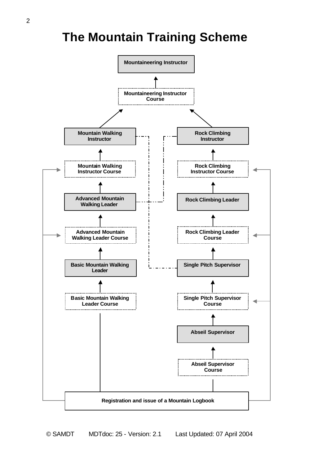### **The Mountain Training Scheme**

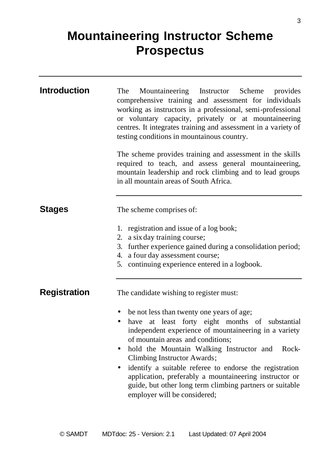## **Mountaineering Instructor Scheme Prospectus**

| <b>Introduction</b> | Mountaineering Instructor Scheme provides<br>The<br>comprehensive training and assessment for individuals<br>working as instructors in a professional, semi-professional<br>or voluntary capacity, privately or at mountaineering<br>centres. It integrates training and assessment in a variety of<br>testing conditions in mountainous country.<br>The scheme provides training and assessment in the skills                                                                                                                      |
|---------------------|-------------------------------------------------------------------------------------------------------------------------------------------------------------------------------------------------------------------------------------------------------------------------------------------------------------------------------------------------------------------------------------------------------------------------------------------------------------------------------------------------------------------------------------|
|                     | required to teach, and assess general mountaineering,<br>mountain leadership and rock climbing and to lead groups<br>in all mountain areas of South Africa.                                                                                                                                                                                                                                                                                                                                                                         |
| <b>Stages</b>       | The scheme comprises of:                                                                                                                                                                                                                                                                                                                                                                                                                                                                                                            |
|                     | 1. registration and issue of a log book;<br>2. a six day training course;<br>3. further experience gained during a consolidation period;<br>4. a four day assessment course;<br>5. continuing experience entered in a logbook.                                                                                                                                                                                                                                                                                                      |
| <b>Registration</b> | The candidate wishing to register must:                                                                                                                                                                                                                                                                                                                                                                                                                                                                                             |
|                     | be not less than twenty one years of age;<br>٠<br>have at least forty eight months of substantial<br>$\bullet$<br>independent experience of mountaineering in a variety<br>of mountain areas and conditions:<br>hold the Mountain Walking Instructor and<br>Rock-<br>$\bullet$<br>Climbing Instructor Awards;<br>identify a suitable referee to endorse the registration<br>٠<br>application, preferably a mountaineering instructor or<br>guide, but other long term climbing partners or suitable<br>employer will be considered; |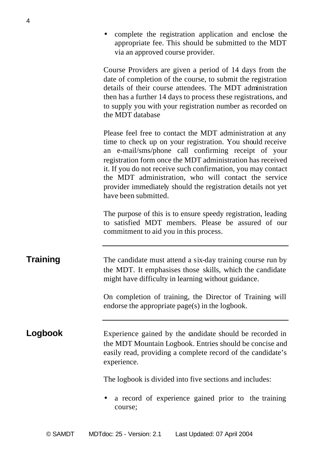• complete the registration application and enclose the appropriate fee. This should be submitted to the MDT via an approved course provider.

Course Providers are given a period of 14 days from the date of completion of the course, to submit the registration details of their course attendees. The MDT administration then has a further 14 days to process these registrations, and to supply you with your registration number as recorded on the MDT database

Please feel free to contact the MDT administration at any time to check up on your registration. You should receive an e-mail/sms/phone call confirming receipt of your registration form once the MDT administration has received it. If you do not receive such confirmation, you may contact the MDT administration, who will contact the service provider immediately should the registration details not yet have been submitted.

The purpose of this is to ensure speedy registration, leading to satisfied MDT members. Please be assured of our commitment to aid you in this process.

**Training** The candidate must attend a six-day training course run by the MDT. It emphasises those skills, which the candidate might have difficulty in learning without guidance.

> On completion of training, the Director of Training will endorse the appropriate page(s) in the logbook.

### **Logbook** Experience gained by the candidate should be recorded in the MDT Mountain Logbook. Entries should be concise and easily read, providing a complete record of the candidate's experience.

The logbook is divided into five sections and includes:

• a record of experience gained prior to the training course;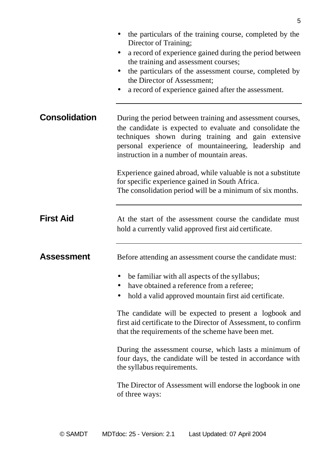|                      | the particulars of the training course, completed by the<br>Director of Training;<br>a record of experience gained during the period between<br>the training and assessment courses;<br>the particulars of the assessment course, completed by<br>٠<br>the Director of Assessment:<br>a record of experience gained after the assessment. |
|----------------------|-------------------------------------------------------------------------------------------------------------------------------------------------------------------------------------------------------------------------------------------------------------------------------------------------------------------------------------------|
| <b>Consolidation</b> | During the period between training and assessment courses,<br>the candidate is expected to evaluate and consolidate the<br>techniques shown during training and gain extensive<br>personal experience of mountaineering, leadership and<br>instruction in a number of mountain areas.                                                     |
|                      | Experience gained abroad, while valuable is not a substitute<br>for specific experience gained in South Africa.<br>The consolidation period will be a minimum of six months.                                                                                                                                                              |
| <b>First Aid</b>     | At the start of the assessment course the candidate must<br>hold a currently valid approved first aid certificate.                                                                                                                                                                                                                        |
| <b>Assessment</b>    | Before attending an assessment course the candidate must:                                                                                                                                                                                                                                                                                 |
|                      | be familiar with all aspects of the syllabus;<br>have obtained a reference from a referee;<br>hold a valid approved mountain first aid certificate.                                                                                                                                                                                       |
|                      | The candidate will be expected to present a logbook and<br>first aid certificate to the Director of Assessment, to confirm<br>that the requirements of the scheme have been met.                                                                                                                                                          |
|                      | During the assessment course, which lasts a minimum of<br>four days, the candidate will be tested in accordance with<br>the syllabus requirements.                                                                                                                                                                                        |
|                      | The Director of Assessment will endorse the logbook in one<br>of three ways:                                                                                                                                                                                                                                                              |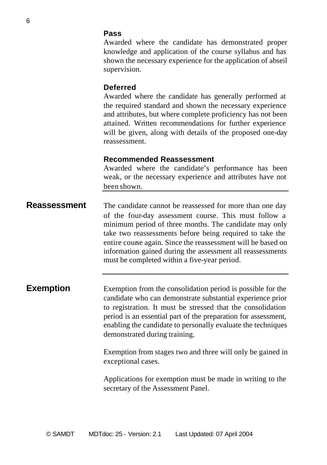#### **Pass**

Awarded where the candidate has demonstrated proper knowledge and application of the course syllabus and has shown the necessary experience for the application of abseil supervision.

#### **Deferred**

Awarded where the candidate has generally performed at the required standard and shown the necessary experience and attributes, but where complete proficiency has not been attained. Written recommendations for further experience will be given, along with details of the proposed one-day reassessment.

#### **Recommended Reassessment**

Awarded where the candidate's performance has been weak, or the necessary experience and attributes have not been shown.

**Reassessment** The candidate cannot be reassessed for more than one day of the four-day assessment course. This must follow a minimum period of three months. The candidate may only take two reassessments before being required to take the entire course again. Since the reassessment will be based on information gained during the assessment all reassessments must be completed within a five-year period.

**Exemption** Exemption from the consolidation period is possible for the candidate who can demonstrate substantial experience prior to registration. It must be stressed that the consolidation period is an essential part of the preparation for assessment, enabling the candidate to personally evaluate the techniques demonstrated during training.

> Exemption from stages two and three will only be gained in exceptional cases.

> Applications for exemption must be made in writing to the secretary of the Assessment Panel.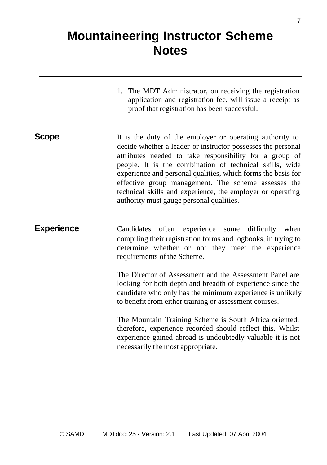### **Mountaineering Instructor Scheme Notes**

1. The MDT Administrator, on receiving the registration application and registration fee, will issue a receipt as proof that registration has been successful.

**Scope** It is the duty of the employer or operating authority to decide whether a leader or instructor possesses the personal attributes needed to take responsibility for a group of people. It is the combination of technical skills, wide experience and personal qualities, which forms the basis for effective group management. The scheme assesses the technical skills and experience, the employer or operating authority must gauge personal qualities.

**Experience** Candidates often experience some difficulty when compiling their registration forms and logbooks, in trying to determine whether or not they meet the experience requirements of the Scheme.

> The Director of Assessment and the Assessment Panel are looking for both depth and breadth of experience since the candidate who only has the minimum experience is unlikely to benefit from either training or assessment courses.

> The Mountain Training Scheme is South Africa oriented, therefore, experience recorded should reflect this. Whilst experience gained abroad is undoubtedly valuable it is not necessarily the most appropriate.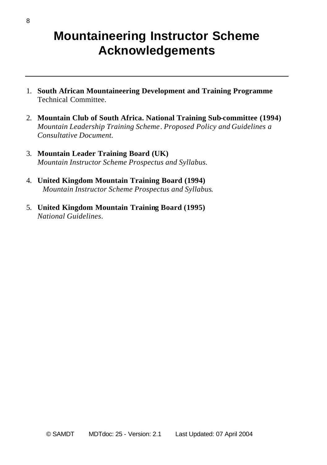### **Mountaineering Instructor Scheme Acknowledgements**

- 1. **South African Mountaineering Development and Training Programme** Technical Committee.
- 2. **Mountain Club of South Africa. National Training Sub-committee (1994)** *Mountain Leadership Training Scheme*. *Proposed Policy and Guidelines a Consultative Document.*
- 3. **Mountain Leader Training Board (UK)** *Mountain Instructor Scheme Prospectus and Syllabus.*
- 4. **United Kingdom Mountain Training Board (1994)** *Mountain Instructor Scheme Prospectus and Syllabus*.
- 5. **United Kingdom Mountain Training Board (1995)** *National Guidelines*.